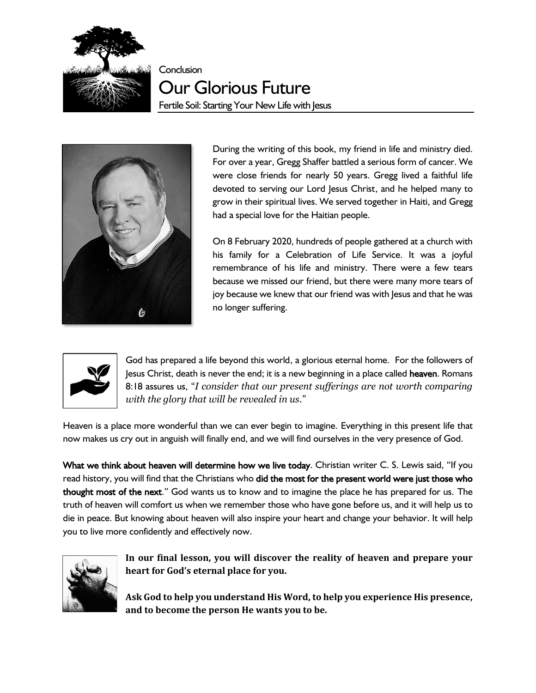

**Conclusion** 

Our Glorious Future Fertile Soil: Starting Your New Life with Jesus



During the writing of this book, my friend in life and ministry died. For over a year, Gregg Shaffer battled a serious form of cancer. We were close friends for nearly 50 years. Gregg lived a faithful life devoted to serving our Lord Jesus Christ, and he helped many to grow in their spiritual lives. We served together in Haiti, and Gregg had a special love for the Haitian people.

On 8 February 2020, hundreds of people gathered at a church with his family for a Celebration of Life Service. It was a joyful remembrance of his life and ministry. There were a few tears because we missed our friend, but there were many more tears of joy because we knew that our friend was with Jesus and that he was no longer suffering.



God has prepared a life beyond this world, a glorious eternal home. For the followers of Jesus Christ, death is never the end; it is a new beginning in a place called heaven. Romans 8:18 assures us, "*I consider that our present sufferings are not worth comparing with the glory that will be revealed in us*."

Heaven is a place more wonderful than we can ever begin to imagine. Everything in this present life that now makes us cry out in anguish will finally end, and we will find ourselves in the very presence of God.

What we think about heaven will determine how we live today. Christian writer C. S. Lewis said, "If you read history, you will find that the Christians who did the most for the present world were just those who thought most of the next." God wants us to know and to imagine the place he has prepared for us. The truth of heaven will comfort us when we remember those who have gone before us, and it will help us to die in peace. But knowing about heaven will also inspire your heart and change your behavior. It will help you to live more confidently and effectively now.



**In our final lesson, you will discover the reality of heaven and prepare your heart for God's eternal place for you.**

**Ask God to help you understand His Word, to help you experience His presence, and to become the person He wants you to be.**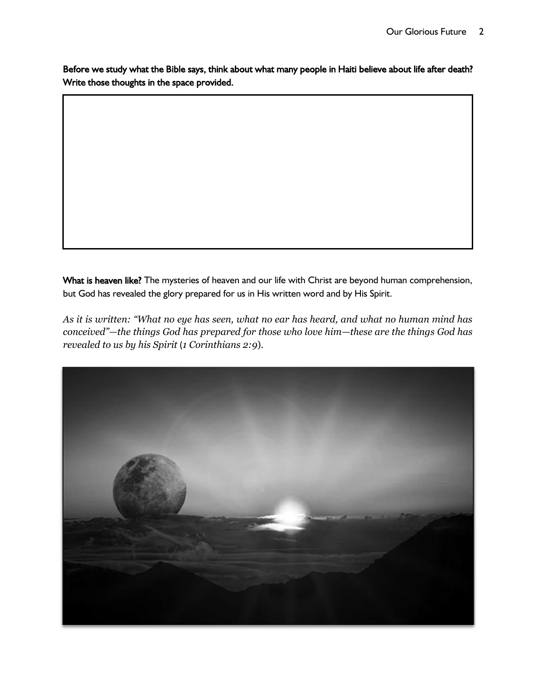Before we study what the Bible says, think about what many people in Haiti believe about life after death? Write those thoughts in the space provided.

What is heaven like? The mysteries of heaven and our life with Christ are beyond human comprehension, but God has revealed the glory prepared for us in His written word and by His Spirit.

*As it is written: "What no eye has seen, what no ear has heard, and what no human mind has conceived"—the things God has prepared for those who love him—these are the things God has revealed to us by his Spirit* (*1 Corinthians 2:9*).

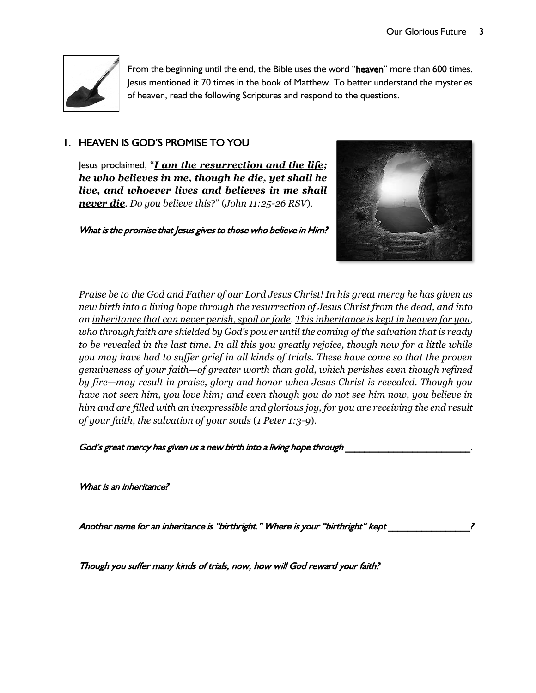

From the beginning until the end, the Bible uses the word "heaven" more than 600 times. Jesus mentioned it 70 times in the book of Matthew. To better understand the mysteries of heaven, read the following Scriptures and respond to the questions.

# 1. HEAVEN IS GOD'S PROMISE TO YOU

Jesus proclaimed, "*I am the resurrection and the life; he who believes in me, though he die, yet shall he live, and whoever lives and believes in me shall never die. Do you believe this*?" (*John 11:25-26 RSV*).

What is the promise that Jesus gives to those who believe in Him?



*Praise be to the God and Father of our Lord Jesus Christ! In his great mercy he has given us new birth into a living hope through the resurrection of Jesus Christ from the dead, and into an inheritance that can never perish, spoil or fade. This inheritance is kept in heaven for you, who through faith are shielded by God's power until the coming of the salvation that is ready to be revealed in the last time. In all this you greatly rejoice, though now for a little while you may have had to suffer grief in all kinds of trials. These have come so that the proven genuineness of your faith—of greater worth than gold, which perishes even though refined by fire—may result in praise, glory and honor when Jesus Christ is revealed. Though you have not seen him, you love him; and even though you do not see him now, you believe in him and are filled with an inexpressible and glorious joy, for you are receiving the end result of your faith, the salvation of your souls* (*1 Peter 1:3-9*).

God's great mercy has given us a new birth into a living hope through

What is an inheritance?

Another name for an inheritance is "birthright." Where is your "birthright" kept \_\_\_\_\_\_\_\_\_\_\_\_\_\_\_\_\_?

Though you suffer many kinds of trials, now, how will God reward your faith?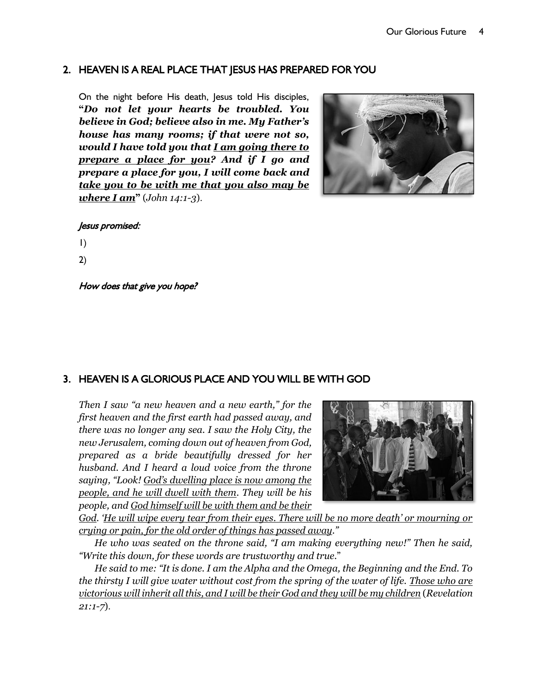## 2. HEAVEN IS A REAL PLACE THAT JESUS HAS PREPARED FOR YOU

On the night before His death, Jesus told His disciples, **"***Do not let your hearts be troubled. You believe in God; believe also in me. My Father's house has many rooms; if that were not so, would I have told you that I am going there to prepare a place for you? And if I go and prepare a place for you, I will come back and take you to be with me that you also may be where I am***"** (*John 14:1-3*).



#### Jesus promised:

- 1)
- 2)

How does that give you hope?

## 3. HEAVEN IS A GLORIOUS PLACE AND YOU WILL BE WITH GOD

*Then I saw "a new heaven and a new earth," for the first heaven and the first earth had passed away, and there was no longer any sea. I saw the Holy City, the new Jerusalem, coming down out of heaven from God, prepared as a bride beautifully dressed for her husband. And I heard a loud voice from the throne saying, "Look! God's dwelling place is now among the people, and he will dwell with them. They will be his people, and God himself will be with them and be their* 



*God. 'He will wipe every tear from their eyes. There will be no more death' or mourning or crying or pain, for the old order of things has passed away."*

*He who was seated on the throne said, "I am making everything new!" Then he said, "Write this down, for these words are trustworthy and true.*"

*He said to me: "It is done. I am the Alpha and the Omega, the Beginning and the End. To the thirsty I will give water without cost from the spring of the water of life. Those who are victorious will inherit all this, and I will be their God and they will be my children* (*Revelation 21:1-7*).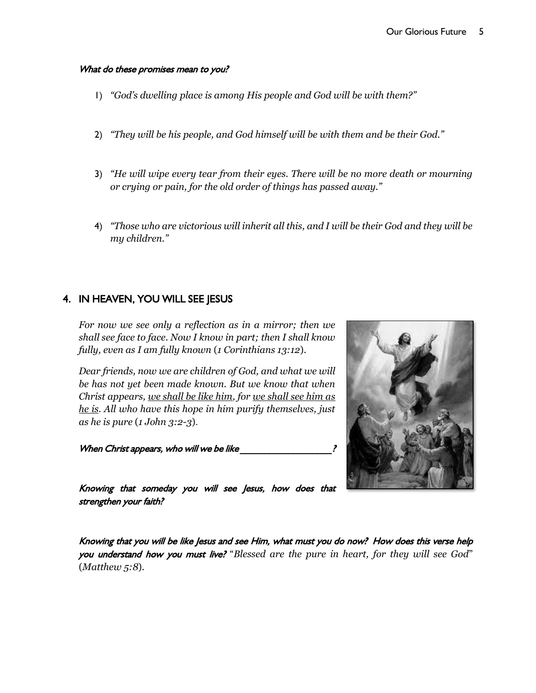#### What do these promises mean to you?

- 1) *"God's dwelling place is among His people and God will be with them?"*
- 2) *"They will be his people, and God himself will be with them and be their God."*
- 3) *"He will wipe every tear from their eyes. There will be no more death or mourning or crying or pain, for the old order of things has passed away."*
- 4) *"Those who are victorious will inherit all this, and I will be their God and they will be my children."*

## 4. IN HEAVEN, YOU WILL SEE JESUS

*For now we see only a reflection as in a mirror; then we shall see face to face. Now I know in part; then I shall know fully, even as I am fully known* (*1 Corinthians 13:12*).

*Dear friends, now we are children of God, and what we will be has not yet been made known. But we know that when Christ appears, we shall be like him, for we shall see him as he is. All who have this hope in him purify themselves, just as he is pure* (*1 John 3:2-3*).

When Christ appears, who will we be like  $\mathcal{C}$ 



Knowing that someday you will see Jesus, how does that strengthen your faith?

Knowing that you will be like Jesus and see Him, what must you do now? How does this verse help you understand how you must live? "*Blessed are the pure in heart, for they will see God*" (*Matthew 5:8*).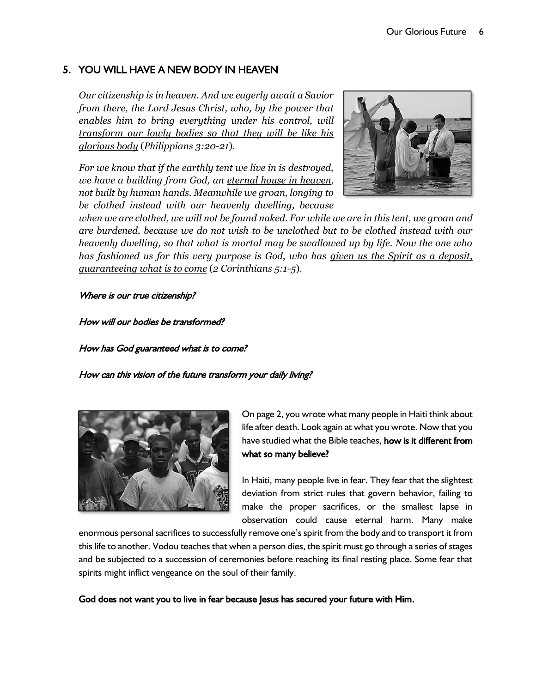# 5. YOU WILL HAVE A NEW BODY IN HEAVEN

*Our citizenship is in heaven. And we eagerly await a Savior from there, the Lord Jesus Christ, who, by the power that enables him to bring everything under his control, will transform our lowly bodies so that they will be like his glorious body* (*Philippians 3:20-21*).

*For we know that if the earthly tent we live in is destroyed, we have a building from God, an eternal house in heaven, not built by human hands. Meanwhile we groan, longing to be clothed instead with our heavenly dwelling, because* 



*when we are clothed, we will not be found naked. For while we are in this tent, we groan and are burdened, because we do not wish to be unclothed but to be clothed instead with our heavenly dwelling, so that what is mortal may be swallowed up by life. Now the one who has fashioned us for this very purpose is God, who has given us the Spirit as a deposit, guaranteeing what is to come* (*2 Corinthians 5:1-5*).

#### Where is our true citizenship?

How will our bodies be transformed?

How has God guaranteed what is to come?

How can this vision of the future transform your daily living?



On page 2, you wrote what many people in Haiti think about life after death. Look again at what you wrote. Now that you have studied what the Bible teaches, how is it different from what so many believe?

In Haiti, many people live in fear. They fear that the slightest deviation from strict rules that govern behavior, failing to make the proper sacrifices, or the smallest lapse in observation could cause eternal harm. Many make

enormous personal sacrifices to successfully remove one's spirit from the body and to transport it from this life to another. Vodou teaches that when a person dies, the spirit must go through a series of stages and be subjected to a succession of ceremonies before reaching its final resting place. Some fear that spirits might inflict vengeance on the soul of their family.

God does not want you to live in fear because Jesus has secured your future with Him.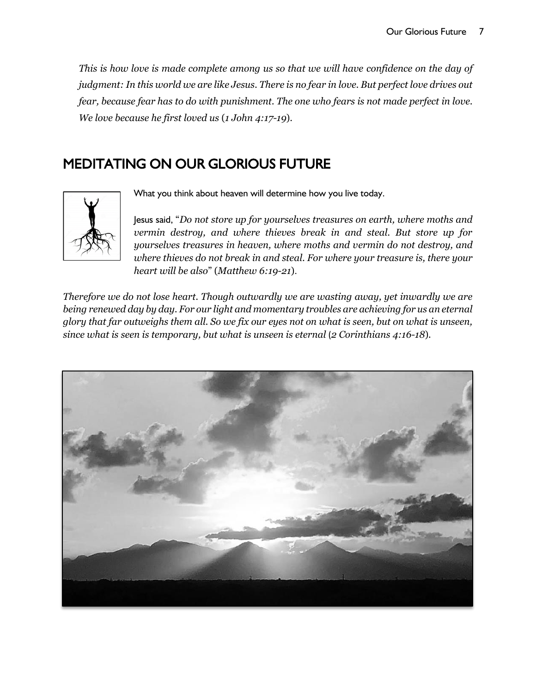*This is how love is made complete among us so that we will have confidence on the day of judgment: In this world we are like Jesus. There is no fear in love. But perfect love drives out fear, because fear has to do with punishment. The one who fears is not made perfect in love. We love because he first loved us* (*1 John 4:17-19*).

# MEDITATING ON OUR GLORIOUS FUTURE



What you think about heaven will determine how you live today.

Jesus said, "*Do not store up for yourselves treasures on earth, where moths and vermin destroy, and where thieves break in and steal. But store up for yourselves treasures in heaven, where moths and vermin do not destroy, and where thieves do not break in and steal. For where your treasure is, there your heart will be also*" (*Matthew 6:19-21*).

*Therefore we do not lose heart. Though outwardly we are wasting away, yet inwardly we are being renewed day by day. For our light and momentary troubles are achieving for us an eternal glory that far outweighs them all. So we fix our eyes not on what is seen, but on what is unseen, since what is seen is temporary, but what is unseen is eternal* (*2 Corinthians 4:16-18*).

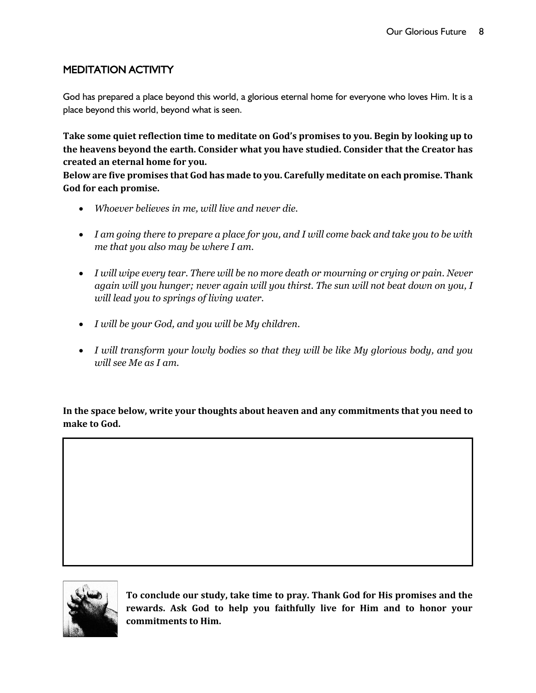# MEDITATION ACTIVITY

God has prepared a place beyond this world, a glorious eternal home for everyone who loves Him. It is a place beyond this world, beyond what is seen.

**Take some quiet reflection time to meditate on God's promises to you. Begin by looking up to the heavens beyond the earth. Consider what you have studied. Consider that the Creator has created an eternal home for you.**

**Below are five promises that God has made to you. Carefully meditate on each promise. Thank God for each promise.**

- *Whoever believes in me, will live and never die.*
- *I am going there to prepare a place for you, and I will come back and take you to be with me that you also may be where I am.*
- *I will wipe every tear. There will be no more death or mourning or crying or pain. Never again will you hunger; never again will you thirst. The sun will not beat down on you, I will lead you to springs of living water.*
- *I will be your God, and you will be My children.*
- *I will transform your lowly bodies so that they will be like My glorious body, and you will see Me as I am.*

**In the space below, write your thoughts about heaven and any commitments that you need to make to God.**



.<br>T  $\overline{\phantom{a}}$ 

> **To conclude our study, take time to pray. Thank God for His promises and the rewards. Ask God to help you faithfully live for Him and to honor your commitments to Him.**